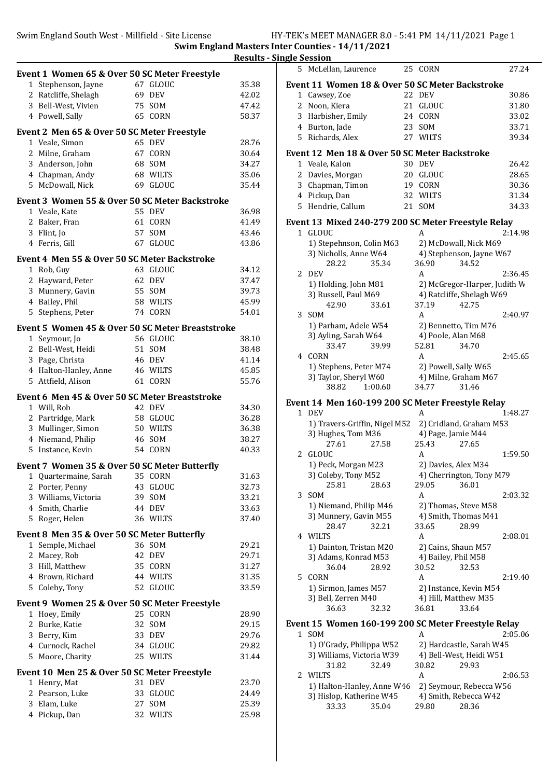Swim England South West - Millfield - Site License HY-TEK's MEET MANAGER 8.0 - 5:41 PM 14/11/2021 Page 1

Swim England Masters Inter Counties - 14/11/2021

|              | Event 1 Women 65 & Over 50 SC Meter Freestyle                  |    |                    |       |
|--------------|----------------------------------------------------------------|----|--------------------|-------|
| $\mathbf{1}$ | Stephenson, Jayne                                              |    | 67 GLOUC           | 35.38 |
|              | 2 Ratcliffe, Shelagh                                           |    | 69 DEV             | 42.02 |
|              | 3 Bell-West, Vivien                                            |    | 75 SOM             | 47.42 |
|              | 4 Powell, Sally                                                |    | 65 CORN            | 58.37 |
|              | Event 2 Men 65 & Over 50 SC Meter Freestyle                    |    |                    |       |
|              | 1 Veale, Simon                                                 |    | 65 DEV             | 28.76 |
|              | 2 Milne, Graham                                                |    | 67 CORN            | 30.64 |
|              | 3 Anderson, John                                               |    | 68 SOM             | 34.27 |
|              | 4 Chapman, Andy                                                |    | 68 WILTS           | 35.06 |
|              | 5 McDowall, Nick                                               |    | 69 GLOUC           | 35.44 |
|              | <b>Event 3 Women 55 &amp; Over 50 SC Meter Backstroke</b>      |    |                    |       |
|              | 1 Veale, Kate                                                  |    | 55 DEV             | 36.98 |
| 2            | Baker, Fran                                                    | 61 | CORN               | 41.49 |
| 3            | Flint, Jo                                                      |    | 57 SOM             | 43.46 |
|              | 4 Ferris, Gill                                                 |    | 67 GLOUC           | 43.86 |
|              | Event 4 Men 55 & Over 50 SC Meter Backstroke                   |    |                    |       |
|              | 1 Rob, Guy                                                     |    | 63 GLOUC           | 34.12 |
|              | 2 Hayward, Peter                                               |    | 62 DEV             | 37.47 |
|              | 3 Munnery, Gavin                                               |    | 55 SOM             | 39.73 |
|              | 4 Bailey, Phil                                                 |    | 58 WILTS           | 45.99 |
|              | 5 Stephens, Peter                                              |    | 74 CORN            | 54.01 |
|              | Event 5 Women 45 & Over 50 SC Meter Breaststroke               |    |                    |       |
|              | 1 Seymour, Jo                                                  |    | 56 GLOUC           | 38.10 |
|              | 2 Bell-West, Heidi                                             |    | 51 SOM             | 38.48 |
|              | 3 Page, Christa                                                |    | 46 DEV             | 41.14 |
|              | 4 Halton-Hanley, Anne                                          |    | 46 WILTS           | 45.85 |
|              | 5 Attfield, Alison                                             | 61 | CORN               | 55.76 |
|              | Event 6 Men 45 & Over 50 SC Meter Breaststroke                 |    |                    |       |
|              | 1 Will, Rob                                                    |    | 42 DEV             | 34.30 |
|              | 2 Partridge, Mark                                              |    | 58 GLOUC           | 36.28 |
|              | 3 Mullinger, Simon                                             |    | 50 WILTS<br>46 SOM | 36.38 |
|              | 4 Niemand, Philip                                              | 54 |                    | 38.27 |
| 5            | Instance, Kevin                                                |    | CORN               | 40.33 |
|              | Event 7 Women 35 & Over 50 SC Meter Butterfly                  |    |                    |       |
|              | 1 Quartermaine, Sarah 35 CORN                                  |    |                    | 31.63 |
|              | 2 Porter, Penny                                                |    | 43 GLOUC           | 32.73 |
|              | 3 Williams, Victoria                                           |    | 39 SOM             | 33.21 |
|              | 4 Smith, Charlie                                               |    | 44 DEV             | 33.63 |
|              | 5 Roger, Helen                                                 |    | 36 WILTS           | 37.40 |
| $\mathbf{1}$ | Event 8 Men 35 & Over 50 SC Meter Butterfly<br>Semple, Michael |    | 36 SOM             | 29.21 |
|              | 2 Macey, Rob                                                   | 42 | DEV                | 29.71 |
|              | 3 Hill, Matthew                                                | 35 | CORN               | 31.27 |
|              | 4 Brown, Richard                                               |    | 44 WILTS           | 31.35 |
|              | 5 Coleby, Tony                                                 |    | 52 GLOUC           | 33.59 |
|              |                                                                |    |                    |       |
|              | Event 9 Women 25 & Over 50 SC Meter Freestyle<br>1 Hoey, Emily |    | 25 CORN            | 28.90 |
|              | 2 Burke, Katie                                                 |    | 32 SOM             | 29.15 |
|              | 3 Berry, Kim                                                   |    | 33 DEV             | 29.76 |
|              | 4 Curnock, Rachel                                              |    | 34 GLOUC           | 29.82 |
|              | 5 Moore, Charity                                               |    | 25 WILTS           | 31.44 |
|              | Event 10 Men 25 & Over 50 SC Meter Freestyle                   |    |                    |       |
| 1            | Henry, Mat                                                     |    | 31 DEV             | 23.70 |
| 2            | Pearson, Luke                                                  | 33 | GLOUC              | 24.49 |
| 3            | Elam, Luke                                                     | 27 | SOM                | 25.39 |
|              | 4 Pickup, Dan                                                  |    | 32 WILTS           | 25.98 |
|              |                                                                |    |                    |       |

|       | <b>Results - Single Session</b>                              |                                              |         |
|-------|--------------------------------------------------------------|----------------------------------------------|---------|
|       | 5 McLellan, Laurence                                         | 25 CORN                                      | 27.24   |
| 35.38 | Event 11 Women 18 & Over 50 SC Meter Backstroke              |                                              |         |
| 42.02 | 1 Cawsey, Zoe                                                | 22 DEV                                       | 30.86   |
| 47.42 | 2<br>Noon, Kiera                                             | 21 GLOUC                                     | 31.80   |
| 58.37 | 3<br>Harbisher, Emily                                        | 24 CORN                                      | 33.02   |
|       | 4 Burton, Jade                                               | 23 SOM                                       | 33.71   |
|       | 5 Richards, Alex                                             | 27 WILTS                                     | 39.34   |
| 28.76 |                                                              |                                              |         |
| 30.64 | Event 12 Men 18 & Over 50 SC Meter Backstroke                |                                              |         |
| 34.27 | 1 Veale, Kalon                                               | 30 DEV                                       | 26.42   |
| 35.06 | 2 Davies, Morgan                                             | 20 GLOUC                                     | 28.65   |
| 35.44 | 3 Chapman, Timon                                             | 19 CORN                                      | 30.36   |
|       | 4 Pickup, Dan                                                | 32 WILTS                                     | 31.34   |
| 36.98 | 5 Hendrie, Callum                                            | 21 SOM                                       | 34.33   |
| 41.49 | Event 13 Mixed 240-279 200 SC Meter Freestyle Relay          |                                              |         |
| 43.46 | 1 GLOUC                                                      | A                                            | 2:14.98 |
| 43.86 | 1) Stepehnson, Colin M63                                     | 2) McDowall, Nick M69                        |         |
|       | 3) Nicholls, Anne W64                                        | 4) Stephenson, Jayne W67                     |         |
|       | 35.34<br>28.22                                               | 36.90<br>34.52                               |         |
| 34.12 | 2 DEV                                                        | A                                            | 2:36.45 |
| 37.47 | 1) Holding, John M81                                         | 2) McGregor-Harper, Judith W                 |         |
| 39.73 | 3) Russell, Paul M69                                         | 4) Ratcliffe, Shelagh W69                    |         |
| 45.99 | 42.90<br>33.61                                               | 37.19<br>42.75                               |         |
| 54.01 | 3 SOM                                                        | A                                            | 2:40.97 |
|       | 1) Parham, Adele W54                                         | 2) Bennetto, Tim M76                         |         |
| 38.10 | 3) Ayling, Sarah W64                                         | 4) Poole, Alan M68                           |         |
| 38.48 | 33.47<br>39.99                                               | 52.81<br>34.70                               |         |
| 41.14 | 4 CORN                                                       | A                                            | 2:45.65 |
| 45.85 | 1) Stephens, Peter M74                                       | 2) Powell, Sally W65                         |         |
| 55.76 | 3) Taylor, Sheryl W60                                        | 4) Milne, Graham M67                         |         |
|       | 1:00.60<br>38.82                                             | 31.46<br>34.77                               |         |
| 34.30 | Event 14 Men 160-199 200 SC Meter Freestyle Relay            |                                              |         |
| 36.28 | 1 DEV                                                        | A                                            | 1:48.27 |
| 36.38 | 1) Travers-Griffin, Nigel M52                                | 2) Cridland, Graham M53                      |         |
| 38.27 | 3) Hughes, Tom M36                                           | 4) Page, Jamie M44                           |         |
| 40.33 | 27.61<br>27.58                                               | 25.43<br>27.65                               |         |
|       | 2 GLOUC                                                      | A                                            | 1:59.50 |
|       | 1) Peck, Morgan M23                                          | 2) Davies, Alex M34                          |         |
| 31.63 | 3) Coleby, Tony M52                                          | 4) Cherrington, Tony M79                     |         |
| 32.73 | 25.81<br>28.63                                               | 29.05<br>36.01                               |         |
| 33.21 | 3 SOM                                                        | A                                            | 2:03.32 |
| 33.63 | 1) Niemand, Philip M46<br>3) Munnery, Gavin M55              | 2) Thomas, Steve M58<br>4) Smith, Thomas M41 |         |
| 37.40 | 28.47<br>32.21                                               | 33.65<br>28.99                               |         |
|       | 4 WILTS                                                      | A                                            | 2:08.01 |
| 29.21 | 1) Dainton, Tristan M20                                      | 2) Cains, Shaun M57                          |         |
| 29.71 | 3) Adams, Konrad M53                                         | 4) Bailey, Phil M58                          |         |
| 31.27 | 36.04<br>28.92                                               | 30.52<br>32.53                               |         |
| 31.35 | 5 CORN                                                       | A                                            | 2:19.40 |
| 33.59 | 1) Sirmon, James M57                                         | 2) Instance, Kevin M54                       |         |
|       | 3) Bell, Zerren M40                                          | 4) Hill, Matthew M35                         |         |
|       | 36.63<br>32.32                                               | 36.81<br>33.64                               |         |
| 28.90 |                                                              |                                              |         |
| 29.15 | Event 15 Women 160-199 200 SC Meter Freestyle Relay<br>1 SOM | A                                            | 2:05.06 |
| 29.76 | 1) O'Grady, Philippa W52                                     | 2) Hardcastle, Sarah W45                     |         |
| 29.82 | 3) Williams, Victoria W39                                    | 4) Bell-West, Heidi W51                      |         |
| 31.44 | 31.82<br>32.49                                               | 30.82<br>29.93                               |         |
|       | 2 WILTS                                                      | A                                            | 2:06.53 |
| 23.70 | 1) Halton-Hanley, Anne W46                                   | 2) Seymour, Rebecca W56                      |         |
| 24.49 | 3) Hislop, Katherine W45                                     | 4) Smith, Rebecca W42                        |         |
| 25.39 | 35.04<br>33.33                                               | 29.80<br>28.36                               |         |
|       |                                                              |                                              |         |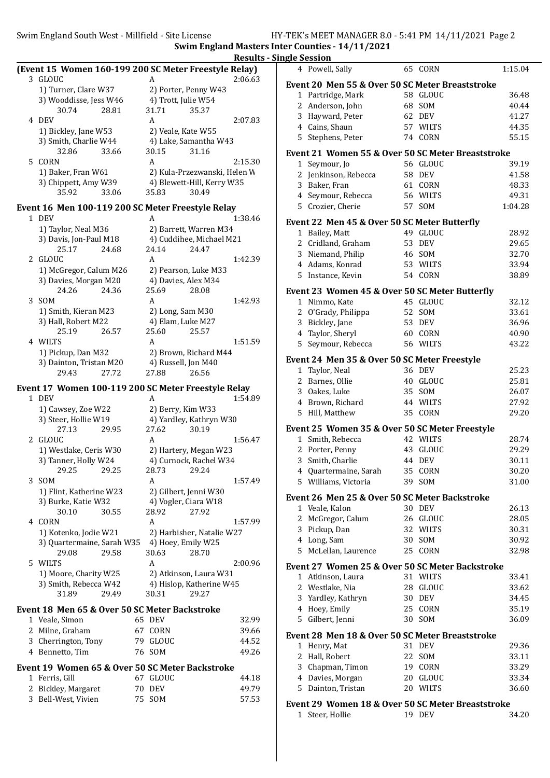Swim England South West - Millfield - Site License HY-TEK's MEET MANAGER 8.0 - 5:41 PM 14/11/2021 Page 2

Swim England Masters Inter Counties - 14/11/2021 Results - Single Session

|    |                                                       |    |                              | resuits |
|----|-------------------------------------------------------|----|------------------------------|---------|
|    | (Event 15 Women 160-199 200 SC Meter Freestyle Relay) |    |                              |         |
|    | 3 GLOUC                                               |    | A                            | 2:06.63 |
|    | 1) Turner, Clare W37                                  |    | 2) Porter, Penny W43         |         |
|    | 3) Wooddisse, Jess W46                                |    | 4) Trott, Julie W54          |         |
|    | 30.74<br>28.81                                        |    | 31.71<br>35.37               |         |
|    | 4 DEV                                                 |    | A                            | 2:07.83 |
|    |                                                       |    |                              |         |
|    | 1) Bickley, Jane W53                                  |    | 2) Veale, Kate W55           |         |
|    | 3) Smith, Charlie W44                                 |    | 4) Lake, Samantha W43        |         |
|    | 32.86<br>33.66                                        |    | 30.15<br>31.16               |         |
| 5  | CORN                                                  |    | A                            | 2:15.30 |
|    | 1) Baker, Fran W61                                    |    | 2) Kula-Przezwanski, Helen W |         |
|    | 3) Chippett, Amy W39                                  |    | 4) Blewett-Hill, Kerry W35   |         |
|    | 35.92<br>33.06                                        |    | 35.83<br>30.49               |         |
|    | Event 16 Men 100-119 200 SC Meter Freestyle Relay     |    |                              |         |
|    | 1 DEV                                                 |    | А                            |         |
|    |                                                       |    |                              | 1:38.46 |
|    | 1) Taylor, Neal M36                                   |    | 2) Barrett, Warren M34       |         |
|    | 3) Davis, Jon-Paul M18                                |    | 4) Cuddihee, Michael M21     |         |
|    | 25.17<br>24.68                                        |    | 24.14<br>24.47               |         |
| 2  | <b>GLOUC</b>                                          |    | A                            | 1:42.39 |
|    | 1) McGregor, Calum M26                                |    | 2) Pearson, Luke M33         |         |
|    | 3) Davies, Morgan M20                                 |    | 4) Davies, Alex M34          |         |
|    | 24.26<br>24.36                                        |    | 25.69<br>28.08               |         |
| 3  | SOM                                                   |    | A                            | 1:42.93 |
|    | 1) Smith, Kieran M23                                  |    | 2) Long, Sam M30             |         |
|    | 3) Hall, Robert M22                                   |    | 4) Elam, Luke M27            |         |
|    | 25.19<br>26.57                                        |    | 25.60<br>25.57               |         |
|    | 4 WILTS                                               |    | A                            | 1:51.59 |
|    | 1) Pickup, Dan M32                                    |    | 2) Brown, Richard M44        |         |
|    | 3) Dainton, Tristan M20                               |    | 4) Russell, Jon M40          |         |
|    | 29.43<br>27.72                                        |    | 26.56<br>27.88               |         |
|    |                                                       |    |                              |         |
|    | Event 17 Women 100-119 200 SC Meter Freestyle Relay   |    |                              |         |
|    | 1 DEV                                                 |    | A                            | 1:54.89 |
|    | 1) Cawsey, Zoe W22                                    |    | 2) Berry, Kim W33            |         |
|    | 3) Steer, Hollie W19                                  |    | 4) Yardley, Kathryn W30      |         |
|    | 27.13<br>29.95                                        |    | 27.62<br>30.19               |         |
| 2  | GLOUC                                                 |    | A                            | 1:56.47 |
|    | 1) Westlake, Ceris W30                                |    | 2) Hartery, Megan W23        |         |
|    | 3) Tanner, Holly W24                                  |    | 4) Curnock, Rachel W34       |         |
|    | 29.25 29.25                                           |    | 28.73 29.24                  |         |
| 3  | <b>SOM</b>                                            |    | A                            | 1:57.49 |
|    |                                                       |    |                              |         |
|    | 1) Flint, Katherine W23                               |    | 2) Gilbert, Jenni W30        |         |
|    | 3) Burke, Katie W32                                   |    | 4) Vogler, Ciara W18         |         |
|    | 30.10<br>30.55                                        |    | 28.92<br>27.92               |         |
| 4  | CORN                                                  |    | A                            | 1:57.99 |
|    | 1) Kotenko, Jodie W21                                 |    | 2) Harbisher, Natalie W27    |         |
|    | 3) Quartermaine, Sarah W35                            |    | 4) Hoey, Emily W25           |         |
|    | 29.08<br>29.58                                        |    | 30.63<br>28.70               |         |
| 5. | WILTS                                                 |    | A                            | 2:00.96 |
|    | 1) Moore, Charity W25                                 |    | 2) Atkinson, Laura W31       |         |
|    | 3) Smith, Rebecca W42                                 |    | 4) Hislop, Katherine W45     |         |
|    | 29.49<br>31.89                                        |    | 29.27<br>30.31               |         |
|    | Event 18 Men 65 & Over 50 SC Meter Backstroke         |    |                              |         |
|    |                                                       |    |                              |         |
| 1  | Veale, Simon                                          |    | 65 DEV                       | 32.99   |
| 2  | Milne, Graham                                         |    | 67 CORN                      | 39.66   |
| 3  | Cherrington, Tony                                     |    | 79 GLOUC                     | 44.52   |
| 4  | Bennetto, Tim                                         |    | 76 SOM                       | 49.26   |
|    | Event 19 Women 65 & Over 50 SC Meter Backstroke       |    |                              |         |
| 1  | Ferris, Gill                                          |    | 67 GLOUC                     | 44.18   |
| 2  | Bickley, Margaret                                     | 70 | <b>DEV</b>                   | 49.79   |
| 3  | Bell-West, Vivien                                     | 75 | <b>SOM</b>                   | 57.53   |
|    |                                                       |    |                              |         |
|    |                                                       |    |                              |         |

| 4              | Powell, Sally                                                   |          | 65 CORN              | 1:15.04        |
|----------------|-----------------------------------------------------------------|----------|----------------------|----------------|
|                | Event 20 Men 55 & Over 50 SC Meter Breaststroke                 |          |                      |                |
|                | 1 Partridge, Mark                                               |          | 58 GLOUC             | 36.48          |
|                | 2 Anderson, John                                                | 68       | SOM                  | 40.44          |
|                | 3 Hayward, Peter                                                | 62       | DEV                  | 41.27          |
|                | 4 Cains, Shaun                                                  |          | 57 WILTS             | 44.35          |
|                | 5 Stephens, Peter                                               |          | <b>74 CORN</b>       | 55.15          |
|                | Event 21 Women 55 & Over 50 SC Meter Breaststroke               |          |                      |                |
|                | 1 Seymour, Jo                                                   |          | 56 GLOUC             | 39.19          |
|                | 2 Jenkinson, Rebecca                                            |          | <b>58 DEV</b>        | 41.58          |
|                | 3 Baker, Fran                                                   |          | 61 CORN              | 48.33          |
|                | 4 Seymour, Rebecca                                              |          | 56 WILTS             | 49.31          |
|                | 5 Crozier, Cherie                                               |          | 57 SOM               | 1:04.28        |
|                | Event 22 Men 45 & Over 50 SC Meter Butterfly                    |          |                      |                |
|                | 1 Bailey, Matt                                                  |          | 49 GLOUC             | 28.92          |
|                | 2 Cridland, Graham                                              | 53       | DEV                  | 29.65          |
|                | 3 Niemand, Philip                                               |          | 46 SOM               | 32.70          |
|                | 4 Adams, Konrad                                                 |          | 53 WILTS             | 33.94          |
| 5              | Instance, Kevin                                                 |          | 54 CORN              | 38.89          |
|                | Event 23 Women 45 & Over 50 SC Meter Butterfly                  |          |                      |                |
|                | 1 Nimmo, Kate                                                   |          | 45 GLOUC             | 32.12          |
|                | 2 O'Grady, Philippa                                             |          | 52 SOM               | 33.61          |
|                | 3 Bickley, Jane                                                 |          | 53 DEV               | 36.96          |
|                | 4 Taylor, Sheryl                                                |          | 60 CORN<br>56 WILTS  | 40.90          |
|                | 5 Seymour, Rebecca                                              |          |                      | 43.22          |
|                | Event 24 Men 35 & Over 50 SC Meter Freestyle                    |          |                      |                |
|                | 1 Taylor, Neal                                                  |          | 36 DEV               | 25.23          |
|                | 2 Barnes, Ollie                                                 |          | 40 GLOUC             | 25.81          |
|                | 3 Oakes, Luke<br>4 Brown, Richard                               | 35<br>44 | SOM<br><b>WILTS</b>  | 26.07<br>27.92 |
|                | 5 Hill, Matthew                                                 |          | 35 CORN              | 29.20          |
|                |                                                                 |          |                      |                |
|                | Event 25 Women 35 & Over 50 SC Meter Freestyle                  |          |                      |                |
|                | 1 Smith, Rebecca<br>2 Porter, Penny                             |          | 42 WILTS<br>43 GLOUC | 28.74<br>29.29 |
|                | 3 Smith, Charlie                                                | 44       | DEV                  | 30.11          |
|                | 4 Quartermaine, Sarah                                           | 35       | CORN                 | 30.20          |
| 5              | Williams, Victoria                                              |          | 39 SOM               | 31.00          |
|                |                                                                 |          |                      |                |
|                | Event 26 Men 25 & Over 50 SC Meter Backstroke<br>1 Veale, Kalon | 30       | <b>DEV</b>           | 26.13          |
| $\overline{2}$ | McGregor, Calum                                                 | 26       | <b>GLOUC</b>         | 28.05          |
|                | 3 Pickup, Dan                                                   | 32       | WILTS                | 30.31          |
|                | 4 Long, Sam                                                     | 30       | SOM                  | 30.92          |
| 5.             | McLellan, Laurence                                              |          | 25 CORN              | 32.98          |
|                | Event 27 Women 25 & Over 50 SC Meter Backstroke                 |          |                      |                |
|                | 1 Atkinson, Laura                                               |          | 31 WILTS             | 33.41          |
|                | 2 Westlake, Nia                                                 |          | 28 GLOUC             | 33.62          |
|                | 3 Yardley, Kathryn                                              | 30       | DEV                  | 34.45          |
|                | 4 Hoey, Emily                                                   | 25       | CORN                 | 35.19          |
| 5              | Gilbert, Jenni                                                  |          | 30 SOM               | 36.09          |
|                | Event 28 Men 18 & Over 50 SC Meter Breaststroke                 |          |                      |                |
|                | 1 Henry, Mat                                                    |          | 31 DEV               | 29.36          |
|                | 2 Hall, Robert                                                  |          | 22 SOM               | 33.11          |
|                | 3 Chapman, Timon                                                |          | 19 CORN              | 33.29          |
|                | 4 Davies, Morgan                                                |          | 20 GLOUC             | 33.34          |
| 5              | Dainton, Tristan                                                |          | 20 WILTS             | 36.60          |
|                | Event 29 Women 18 & Over 50 SC Meter Breaststroke               |          |                      |                |
|                | 1 Steer, Hollie                                                 |          | 19 DEV               | 34.20          |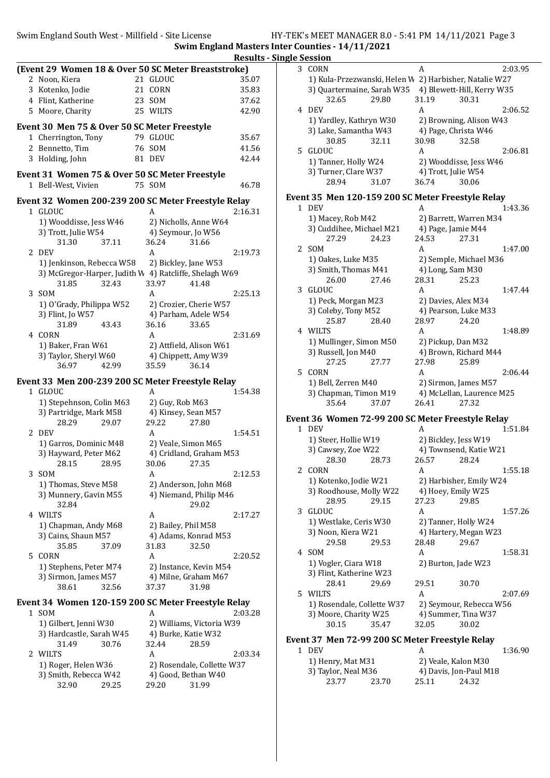Swim England South West - Millfield - Site License HY-TEK's MEET MANAGER 8.0 - 5:41 PM 14/11/2021 Page 3 Swim England Masters Inter Counties - 14/11/2021

|                                                        |                              |         | <b>Results - Single Session</b> |
|--------------------------------------------------------|------------------------------|---------|---------------------------------|
| (Event 29 Women 18 & Over 50 SC Meter Breaststroke)    |                              |         | 3 CORN                          |
| 2 Noon, Kiera                                          | 21 GLOUC                     | 35.07   | 1) Kula                         |
| 3 Kotenko, Jodie                                       | 21 CORN                      | 35.83   | 3) Qua                          |
| 4 Flint, Katherine                                     | 23 SOM                       | 37.62   | 3.                              |
| 5 Moore, Charity                                       | 25 WILTS                     | 42.90   | 4 DEV                           |
| Event 30 Men 75 & Over 50 SC Meter Freestyle           |                              |         | 1) Yard                         |
|                                                        | 79 GLOUC                     | 35.67   | 3) Lak                          |
| 1 Cherrington, Tony<br>2 Bennetto, Tim                 | 76 SOM                       | 41.56   | 30                              |
| 3 Holding, John                                        | <b>81 DEV</b>                | 42.44   | 5 GLOUC                         |
|                                                        |                              |         | 1) Tanı                         |
| Event 31 Women 75 & Over 50 SC Meter Freestyle         |                              |         | 3) Turi                         |
| 1 Bell-West, Vivien                                    | 75 SOM                       | 46.78   | 28                              |
| Event 32 Women 200-239 200 SC Meter Freestyle Relay    |                              |         | Event 35 M                      |
| 1 GLOUC                                                | A                            | 2:16.31 | 1 DEV                           |
| 1) Wooddisse, Jess W46                                 | 2) Nicholls, Anne W64        |         | 1) Mac                          |
| 3) Trott, Julie W54                                    | 4) Seymour, Jo W56           |         | 3) Cud                          |
| 31.30<br>37.11                                         | 36.24                        | 31.66   | $2^{\cdot}$                     |
| 2 DEV                                                  | A                            | 2:19.73 | 2 SOM                           |
| 1) Jenkinson, Rebecca W58                              | 2) Bickley, Jane W53         |         | 1) Oak                          |
| 3) McGregor-Harper, Judith W 4) Ratcliffe, Shelagh W69 |                              |         | 3) Smit                         |
| 31.85<br>32.43                                         | 33.97                        | 41.48   | $\overline{2}$                  |
| 3 SOM                                                  | A                            | 2:25.13 | 3 GLOUC                         |
| 1) O'Grady, Philippa W52                               | 2) Crozier, Cherie W57       |         | 1) Pecl                         |
| 3) Flint, Jo W57                                       | 4) Parham, Adele W54         |         | 3) Cole<br>2.                   |
| 31.89<br>43.43                                         | 36.16                        | 33.65   | 4 WILTS                         |
| 4 CORN                                                 | A                            | 2:31.69 | 1) Mul                          |
| 1) Baker, Fran W61                                     | 2) Attfield, Alison W61      |         | 3) Russ                         |
| 3) Taylor, Sheryl W60                                  | 4) Chippett, Amy W39         |         | $2^{\circ}$                     |
| 42.99<br>36.97                                         | 35.59                        | 36.14   | 5 CORN                          |
| Event 33 Men 200-239 200 SC Meter Freestyle Relay      |                              |         | 1) Bell                         |
| 1 GLOUC                                                | A                            | 1:54.38 | 3) Cha                          |
| 1) Stepehnson, Colin M63                               | 2) Guy, Rob M63              |         | 3.                              |
| 3) Partridge, Mark M58                                 | 4) Kinsey, Sean M57          |         |                                 |
| 28.29<br>29.07                                         | 29.22                        | 27.80   | Event 36 W<br>1 DEV             |
| 2 DEV                                                  | A                            | 1:54.51 |                                 |
| 1) Garros, Dominic M48                                 | 2) Veale, Simon M65          |         | 1) Stee<br>3) Caw               |
| 3) Hayward, Peter M62                                  | 4) Cridland, Graham M53      |         | 28                              |
| 28.15<br>28.95                                         | 30.06                        | 27.35   | 2 CORN                          |
| 3 SOM                                                  | A                            | 2:12.53 | 1) Kote                         |
| 1) Thomas, Steve M58                                   | 2) Anderson, John M68        |         | 3) Roo                          |
| 3) Munnery, Gavin M55<br>32.84                         | 4) Niemand, Philip M46       | 29.02   | 28                              |
| 4 WILTS                                                | A                            | 2:17.27 | 3 GLOUC                         |
| 1) Chapman, Andy M68                                   | 2) Bailey, Phil M58          |         | 1) Wes                          |
| 3) Cains, Shaun M57                                    | 4) Adams, Konrad M53         |         | 3) Noo                          |
| 35.85<br>37.09                                         | 31.83                        | 32.50   | 2 <sup>0</sup>                  |
| 5 CORN                                                 | A                            | 2:20.52 | 4 SOM                           |
| 1) Stephens, Peter M74                                 | 2) Instance, Kevin M54       |         | 1) Vogl                         |
| 3) Sirmon, James M57                                   | 4) Milne, Graham M67         |         | 3) Flint                        |
| 38.61<br>32.56                                         | 37.37                        | 31.98   | 28                              |
|                                                        |                              |         | 5 WILTS                         |
| Event 34 Women 120-159 200 SC Meter Freestyle Relay    |                              |         | 1) Ros                          |
| 1 SOM                                                  | A                            | 2:03.28 | 3) Moo                          |
| 1) Gilbert, Jenni W30                                  | 2) Williams, Victoria W39    |         | 30                              |
| 3) Hardcastle, Sarah W45<br>31.49<br>30.76             | 4) Burke, Katie W32<br>32.44 | 28.59   | Event 37 M                      |
| 2 WILTS                                                | A                            | 2:03.34 | 1 DEV                           |
| 1) Roger, Helen W36                                    | 2) Rosendale, Collette W37   |         | 1) Hen                          |
| 3) Smith, Rebecca W42                                  | 4) Good, Bethan W40          |         | 3) Tayl                         |

3) Smith, Rebecca W42 4) Good, Bethan V<br>32.90 29.25 29.20 31.99

29.20

| 3 CORN                                                 | A                                        | 2:03.95 |
|--------------------------------------------------------|------------------------------------------|---------|
| 1) Kula-Przezwanski, Helen W 2) Harbisher, Natalie W27 |                                          |         |
| 3) Quartermaine, Sarah W35                             | 4) Blewett-Hill, Kerry W35               |         |
| 32.65<br>29.80                                         | 30.31<br>31.19                           |         |
| 4 DEV                                                  | A                                        | 2:06.52 |
| 1) Yardley, Kathryn W30                                | 2) Browning, Alison W43                  |         |
| 3) Lake, Samantha W43                                  | 4) Page, Christa W46                     |         |
| 30.85<br>32.11                                         | 30.98<br>32.58                           |         |
| 5 GLOUC                                                | A                                        | 2:06.81 |
| 1) Tanner, Holly W24                                   | 2) Wooddisse, Jess W46                   |         |
| 3) Turner, Clare W37                                   | 4) Trott, Julie W54                      |         |
| 28.94<br>31.07                                         | 36.74<br>30.06                           |         |
| Event 35 Men 120-159 200 SC Meter Freestyle Relay      |                                          |         |
| 1 DEV                                                  | A                                        | 1:43.36 |
|                                                        | 2) Barrett, Warren M34                   |         |
| 1) Macey, Rob M42<br>3) Cuddihee, Michael M21          | 4) Page, Jamie M44                       |         |
| 27.29<br>24.23                                         | 24.53<br>27.31                           |         |
| 2 SOM                                                  | A                                        | 1:47.00 |
| 1) Oakes, Luke M35                                     | 2) Semple, Michael M36                   |         |
| 3) Smith, Thomas M41                                   | 4) Long, Sam M30                         |         |
| 26.00<br>27.46                                         | 28.31<br>25.23                           |         |
| 3 GLOUC                                                | A                                        | 1:47.44 |
| 1) Peck, Morgan M23                                    | 2) Davies, Alex M34                      |         |
| 3) Coleby, Tony M52                                    | 4) Pearson, Luke M33                     |         |
| 25.87<br>28.40                                         | 28.97<br>24.20                           |         |
| 4 WILTS                                                | A                                        | 1:48.89 |
| 1) Mullinger, Simon M50                                | 2) Pickup, Dan M32                       |         |
| 3) Russell, Jon M40                                    | 4) Brown, Richard M44                    |         |
| 27.25<br>27.77                                         | 27.98<br>25.89                           |         |
| 5 CORN                                                 | A                                        | 2:06.44 |
| 1) Bell, Zerren M40                                    | 2) Sirmon, James M57                     |         |
| 3) Chapman, Timon M19                                  | 4) McLellan, Laurence M25                |         |
| 35.64<br>37.07                                         | 27.32<br>26.41                           |         |
|                                                        |                                          |         |
| Event 36 Women 72-99 200 SC Meter Freestyle Relay      |                                          |         |
| 1 DEV                                                  | A                                        | 1:51.84 |
| 1) Steer, Hollie W19                                   | 2) Bickley, Jess W19                     |         |
| 3) Cawsey, Zoe W22<br>28.30<br>28.73                   | 4) Townsend, Katie W21<br>26.57<br>28.24 |         |
| 2 CORN                                                 | A                                        | 1:55.18 |
|                                                        | 2) Harbisher, Emily W24                  |         |
| 1) Kotenko, Jodie W21<br>3) Roodhouse, Molly W22       | 4) Hoey, Emily W25                       |         |
| 28.95<br>29.15                                         | 27.23<br>29.85                           |         |
| 3 GLOUC                                                | A                                        | 1:57.26 |
| 1) Westlake, Ceris W30                                 | 2) Tanner, Holly W24                     |         |
| 3) Noon, Kiera W21                                     | 4) Hartery, Megan W23                    |         |
| 29.58<br>29.53                                         | 29.67<br>28.48                           |         |
| 4 SOM                                                  | A                                        | 1:58.31 |
| 1) Vogler, Ciara W18                                   | 2) Burton, Jade W23                      |         |
| 3) Flint, Katherine W23                                |                                          |         |
| 28.41<br>29.69                                         | 29.51<br>30.70                           |         |
| 5 WILTS                                                | A                                        | 2:07.69 |
| 1) Rosendale, Collette W37                             | 2) Seymour, Rebecca W56                  |         |
| 3) Moore, Charity W25                                  | 4) Summer, Tina W37                      |         |
| 30.15<br>35.47                                         | 32.05<br>30.02                           |         |
|                                                        |                                          |         |
| Event 37 Men 72-99 200 SC Meter Freestyle Relay        |                                          |         |
| 1 DEV                                                  | A                                        | 1:36.90 |
| 1) Henry, Mat M31                                      | 2) Veale, Kalon M30                      |         |
| 3) Taylor, Neal M36<br>23.77<br>23.70                  | 4) Davis, Jon-Paul M18<br>25.11<br>24.32 |         |
|                                                        |                                          |         |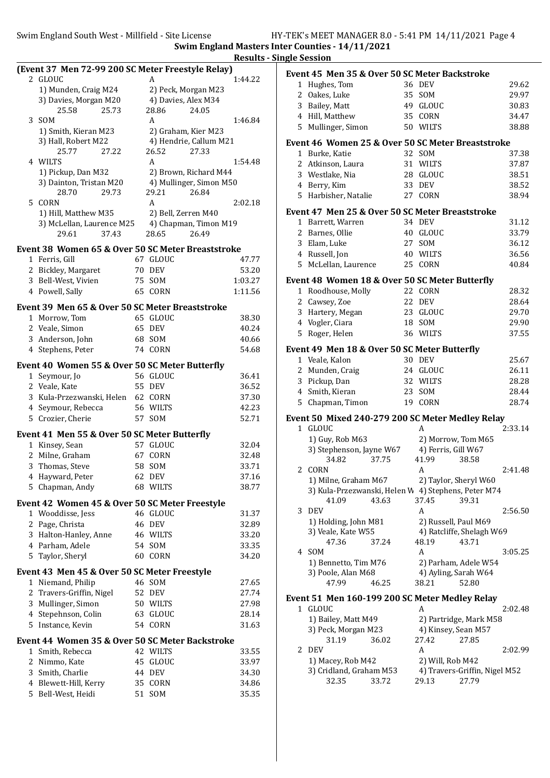Swim England South West - Millfield - Site License HY-TEK's MEET MANAGER 8.0 - 5:41 PM 14/11/2021 Page 4

Swim England Masters Inter Counties - 14/11/2021 Results - Single Session

|              |                                                   |    |                         | woun    |
|--------------|---------------------------------------------------|----|-------------------------|---------|
|              | (Event 37 Men 72-99 200 SC Meter Freestyle Relay) |    |                         |         |
|              | 2 GLOUC                                           |    | A                       | 1:44.22 |
|              | 1) Munden, Craig M24                              |    | 2) Peck, Morgan M23     |         |
|              | 3) Davies, Morgan M20                             |    | 4) Davies, Alex M34     |         |
|              | 25.73<br>25.58                                    |    | 28.86<br>24.05          |         |
| 3            | <b>SOM</b>                                        |    | A                       | 1:46.84 |
|              | 1) Smith, Kieran M23                              |    | 2) Graham, Kier M23     |         |
|              | 3) Hall, Robert M22                               |    | 4) Hendrie, Callum M21  |         |
|              | 25.77<br>27.22                                    |    | 26.52<br>27.33          |         |
| 4            | WILTS                                             |    | A                       | 1:54.48 |
|              | 1) Pickup, Dan M32                                |    | 2) Brown, Richard M44   |         |
|              | 3) Dainton, Tristan M20                           |    | 4) Mullinger, Simon M50 |         |
|              | 28.70<br>29.73                                    |    | 29.21<br>26.84          |         |
| 5            | CORN                                              |    | A                       | 2:02.18 |
|              | 1) Hill, Matthew M35                              |    | 2) Bell, Zerren M40     |         |
|              | 3) McLellan, Laurence M25                         |    | 4) Chapman, Timon M19   |         |
|              | 37.43<br>29.61                                    |    | 26.49<br>28.65          |         |
|              | Event 38 Women 65 & Over 50 SC Meter Breaststroke |    |                         |         |
|              | 1 Ferris, Gill                                    | 67 | GLOUC                   | 47.77   |
|              | 2 Bickley, Margaret                               |    | 70 DEV                  | 53.20   |
|              | 3 Bell-West, Vivien                               | 75 | SOM                     | 1:03.27 |
|              | 4 Powell, Sally                                   | 65 | CORN                    | 1:11.56 |
|              |                                                   |    |                         |         |
|              | Event 39 Men 65 & Over 50 SC Meter Breaststroke   |    |                         |         |
|              | 1 Morrow, Tom                                     |    | 65 GLOUC                | 38.30   |
|              | 2 Veale, Simon                                    |    | 65 DEV                  | 40.24   |
|              | 3 Anderson, John                                  |    | 68 SOM                  | 40.66   |
|              | 4 Stephens, Peter                                 | 74 | CORN                    | 54.68   |
|              | Event 40 Women 55 & Over 50 SC Meter Butterfly    |    |                         |         |
|              | 1 Seymour, Jo                                     |    | 56 GLOUC                | 36.41   |
|              | 2 Veale, Kate                                     |    | 55 DEV                  | 36.52   |
|              | 3 Kula-Przezwanski, Helen                         |    | 62 CORN                 | 37.30   |
|              | 4 Seymour, Rebecca                                |    | 56 WILTS                | 42.23   |
|              | 5 Crozier, Cherie                                 |    | 57 SOM                  | 52.71   |
|              |                                                   |    |                         |         |
|              | Event 41 Men 55 & Over 50 SC Meter Butterfly      |    |                         |         |
|              | 1 Kinsey, Sean                                    |    | 57 GLOUC                | 32.04   |
|              | 2 Milne, Graham                                   | 67 | CORN                    | 32.48   |
|              | 3 Thomas, Steve                                   |    | 58 SOM                  | 33.71   |
| 4            | Hayward, Peter                                    | 62 | DEV                     | 37.16   |
| 5            | Chapman, Andy                                     |    | 68 WILTS                | 38.77   |
|              | Event 42 Women 45 & Over 50 SC Meter Freestyle    |    |                         |         |
| $\mathbf{1}$ | Wooddisse, Jess                                   |    | 46 GLOUC                | 31.37   |
|              | 2 Page, Christa                                   |    | 46 DEV                  | 32.89   |
|              | 3 Halton-Hanley, Anne                             |    | 46 WILTS                | 33.20   |
|              | 4 Parham, Adele                                   |    | 54 SOM                  | 33.35   |
|              | 5 Taylor, Sheryl                                  |    | 60 CORN                 | 34.20   |
|              |                                                   |    |                         |         |
|              | Event 43 Men 45 & Over 50 SC Meter Freestyle      |    |                         |         |
|              | 1 Niemand, Philip                                 |    | 46 SOM                  | 27.65   |
|              | 2 Travers-Griffin, Nigel                          | 52 | DEV                     | 27.74   |
|              | 3 Mullinger, Simon                                |    | 50 WILTS                | 27.98   |
|              | 4 Stepehnson, Colin                               | 63 | GLOUC                   | 28.14   |
|              | 5 Instance, Kevin                                 | 54 | CORN                    | 31.63   |
|              | Event 44 Women 35 & Over 50 SC Meter Backstroke   |    |                         |         |
|              | 1 Smith, Rebecca                                  |    | 42 WILTS                | 33.55   |
|              | 2 Nimmo, Kate                                     | 45 | GLOUC                   | 33.97   |
|              | 3 Smith, Charlie                                  |    | 44 DEV                  | 34.30   |
|              | 4 Blewett-Hill, Kerry                             |    | 35 CORN                 | 34.86   |
|              | 5 Bell-West, Heidi                                | 51 | SOM                     | 35.35   |
|              |                                                   |    |                         |         |

|                | Event 45 Men 35 & Over 50 SC Meter Backstroke                        |       |                      |                               |         |
|----------------|----------------------------------------------------------------------|-------|----------------------|-------------------------------|---------|
|                | 1 Hughes, Tom                                                        |       | 36 DEV               |                               | 29.62   |
|                | 2 Oakes, Luke                                                        |       | 35 SOM               |                               | 29.97   |
|                | 3 Bailey, Matt                                                       |       | 49 GLOUC             |                               | 30.83   |
|                | 4 Hill, Matthew                                                      | 35    | CORN                 |                               | 34.47   |
|                | 5 Mullinger, Simon                                                   |       | 50 WILTS             |                               | 38.88   |
|                | Event 46 Women 25 & Over 50 SC Meter Breaststroke                    |       |                      |                               |         |
|                | 1 Burke, Katie                                                       |       | 32 SOM               |                               | 37.38   |
| $\overline{2}$ | Atkinson, Laura                                                      |       | 31 WILTS             |                               | 37.87   |
|                | 3 Westlake, Nia                                                      |       | 28 GLOUC             |                               | 38.51   |
|                | 4 Berry, Kim                                                         |       | 33 DEV               |                               | 38.52   |
|                | 5 Harbisher, Natalie                                                 |       | 27 CORN              |                               | 38.94   |
|                |                                                                      |       |                      |                               |         |
|                | Event 47 Men 25 & Over 50 SC Meter Breaststroke<br>1 Barrett, Warren |       | 34 DEV               |                               | 31.12   |
|                | 2 Barnes, Ollie                                                      |       | 40 GLOUC             |                               | 33.79   |
|                | 3 Elam, Luke                                                         | 27    | SOM                  |                               | 36.12   |
|                | 4 Russell, Jon                                                       | 40    | <b>WILTS</b>         |                               | 36.56   |
|                | 5 McLellan, Laurence                                                 | 25    | CORN                 |                               | 40.84   |
|                |                                                                      |       |                      |                               |         |
|                | Event 48 Women 18 & Over 50 SC Meter Butterfly                       |       |                      |                               |         |
|                | 1 Roodhouse, Molly                                                   |       | 22 CORN              |                               | 28.32   |
|                | 2 Cawsey, Zoe                                                        |       | 22 DEV               |                               | 28.64   |
|                | 3 Hartery, Megan                                                     |       | 23 GLOUC             |                               | 29.70   |
|                | 4 Vogler, Ciara                                                      |       | 18 SOM               |                               | 29.90   |
|                | 5 Roger, Helen                                                       |       | 36 WILTS             |                               | 37.55   |
|                | Event 49 Men 18 & Over 50 SC Meter Butterfly                         |       |                      |                               |         |
|                | 1 Veale, Kalon                                                       |       | 30 DEV               |                               | 25.67   |
|                | 2 Munden, Craig                                                      |       | 24 GLOUC             |                               | 26.11   |
|                | 3 Pickup, Dan                                                        |       | 32 WILTS             |                               | 28.28   |
|                | 4 Smith, Kieran                                                      |       | 23 SOM               |                               | 28.44   |
| 5              | Chapman, Timon                                                       | 19    | CORN                 |                               | 28.74   |
|                | Event 50 Mixed 240-279 200 SC Meter Medley Relay                     |       |                      |                               |         |
|                | 1 GLOUC                                                              |       | A                    |                               | 2:33.14 |
|                | 1) Guy, Rob M63                                                      |       |                      | 2) Morrow, Tom M65            |         |
|                | 3) Stephenson, Jayne W67                                             |       | 4) Ferris, Gill W67  |                               |         |
|                | 34.82                                                                | 37.75 | 41.99                | 38.58                         |         |
| 2              | <b>CORN</b>                                                          |       | A                    |                               | 2:41.48 |
|                | 1) Milne, Graham M67                                                 |       |                      | 2) Taylor, Sheryl W60         |         |
|                | 3) Kula-Przezwanski, Helen W 4) Stephens, Peter M74                  |       |                      |                               |         |
|                | 41.09                                                                | 43.63 | 37.45                | 39.31                         |         |
| 3              | DEV                                                                  |       | A                    |                               | 2:56.50 |
|                | 1) Holding, John M81                                                 |       | 2) Russell, Paul M69 |                               |         |
|                | 3) Veale, Kate W55                                                   |       |                      | 4) Ratcliffe, Shelagh W69     |         |
|                | 47.36                                                                | 37.24 | 48.19                | 43.71                         |         |
| 4              | SOM                                                                  |       | A                    |                               | 3:05.25 |
|                | 1) Bennetto, Tim M76                                                 |       |                      | 2) Parham, Adele W54          |         |
|                | 3) Poole, Alan M68                                                   |       |                      | 4) Ayling, Sarah W64          |         |
|                | 47.99                                                                | 46.25 | 38.21                | 52.80                         |         |
|                | Event 51 Men 160-199 200 SC Meter Medley Relay                       |       |                      |                               |         |
|                | 1 GLOUC                                                              |       | A                    |                               | 2:02.48 |
|                | 1) Bailey, Matt M49                                                  |       |                      | 2) Partridge, Mark M58        |         |
|                | 3) Peck, Morgan M23                                                  |       | 4) Kinsey, Sean M57  |                               |         |
|                | 31.19                                                                | 36.02 | 27.42                | 27.85                         |         |
| 2              | DEV                                                                  |       | A                    |                               | 2:02.99 |
|                | 1) Macey, Rob M42                                                    |       | 2) Will, Rob M42     |                               |         |
|                | 3) Cridland, Graham M53                                              |       |                      | 4) Travers-Griffin, Nigel M52 |         |
|                | 32.35                                                                | 33.72 | 29.13                | 27.79                         |         |
|                |                                                                      |       |                      |                               |         |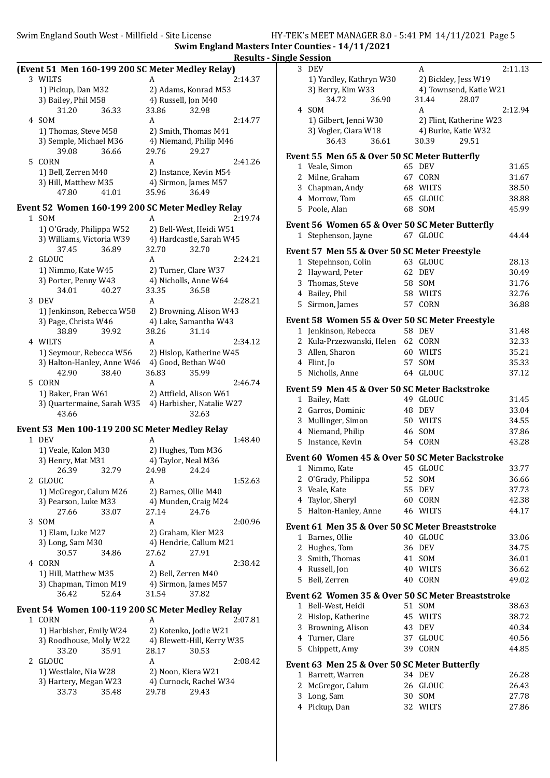Swim England South West - Millfield - Site License HY-TEK's MEET MANAGER 8.0 - 5:41 PM 14/11/2021 Page 5 Swim England Masters Inter Counties - 14/11/2021

Results - Single Session

|   |                                                  |                         |                            | Results - |
|---|--------------------------------------------------|-------------------------|----------------------------|-----------|
|   | (Event 51 Men 160-199 200 SC Meter Medley Relay) |                         |                            |           |
|   | 3 WILTS                                          | A                       |                            | 2:14.37   |
|   | 1) Pickup, Dan M32                               |                         | 2) Adams, Konrad M53       |           |
|   | 3) Bailey, Phil M58                              | 4) Russell, Jon M40     |                            |           |
|   | 31.20<br>36.33                                   | 33.86                   | 32.98                      |           |
| 4 | SOM                                              | A                       |                            | 2:14.77   |
|   | 1) Thomas, Steve M58                             | 2) Smith, Thomas M41    |                            |           |
|   | 3) Semple, Michael M36                           |                         | 4) Niemand, Philip M46     |           |
|   | 39.08<br>36.66                                   | 29.76                   | 29.27                      |           |
| 5 | CORN                                             | A                       |                            | 2:41.26   |
|   | 1) Bell, Zerren M40                              |                         | 2) Instance, Kevin M54     |           |
|   | 3) Hill, Matthew M35                             | 4) Sirmon, James M57    |                            |           |
|   | 47.80<br>41.01                                   | 35.96                   | 36.49                      |           |
|   |                                                  |                         |                            |           |
|   | Event 52 Women 160-199 200 SC Meter Medley Relay |                         |                            |           |
|   | 1 SOM                                            | A                       |                            | 2:19.74   |
|   | 1) O'Grady, Philippa W52                         |                         | 2) Bell-West, Heidi W51    |           |
|   | 3) Williams, Victoria W39                        |                         | 4) Hardcastle, Sarah W45   |           |
|   | 37.45<br>36.89                                   | 32.70                   | 32.70                      |           |
| 2 | GLOUC                                            | A                       |                            | 2:24.21   |
|   | 1) Nimmo, Kate W45                               | 2) Turner, Clare W37    |                            |           |
|   | 3) Porter, Penny W43                             | 4) Nicholls, Anne W64   |                            |           |
|   | 34.01<br>40.27                                   | 33.35                   | 36.58                      |           |
| 3 | DEV                                              | A                       |                            | 2:28.21   |
|   | 1) Jenkinson, Rebecca W58                        |                         | 2) Browning, Alison W43    |           |
|   | 3) Page, Christa W46                             |                         | 4) Lake, Samantha W43      |           |
|   | 38.89<br>39.92                                   | 38.26                   | 31.14                      |           |
|   | 4 WILTS                                          | A                       |                            | 2:34.12   |
|   | 1) Seymour, Rebecca W56                          |                         | 2) Hislop, Katherine W45   |           |
|   | 3) Halton-Hanley, Anne W46                       | 4) Good, Bethan W40     |                            |           |
|   | 38.40<br>42.90                                   | 36.83                   | 35.99                      |           |
| 5 | CORN                                             | A                       |                            | 2:46.74   |
|   | 1) Baker, Fran W61                               | 2) Attfield, Alison W61 |                            |           |
|   | 3) Quartermaine, Sarah W35                       |                         | 4) Harbisher, Natalie W27  |           |
|   | 43.66                                            |                         | 32.63                      |           |
|   |                                                  |                         |                            |           |
|   | Event 53 Men 100-119 200 SC Meter Medley Relay   |                         |                            |           |
|   | 1 DEV                                            | А                       |                            | 1:48.40   |
|   | 1) Veale, Kalon M30                              | 2) Hughes, Tom M36      |                            |           |
|   | 3) Henry, Mat M31                                | 4) Taylor, Neal M36     |                            |           |
|   | 26.39<br>32.79                                   | 24.98 24.24             |                            |           |
| 2 | <b>GLOUC</b>                                     | A                       |                            | 1:52.63   |
|   | 1) McGregor, Calum M26                           | 2) Barnes, Ollie M40    |                            |           |
|   | 3) Pearson, Luke M33                             | 4) Munden, Craig M24    |                            |           |
|   | 27.66<br>33.07                                   | 27.14                   | 24.76                      |           |
| 3 | <b>SOM</b>                                       | A                       |                            | 2:00.96   |
|   | 1) Elam, Luke M27                                | 2) Graham, Kier M23     |                            |           |
|   | 3) Long, Sam M30                                 |                         | 4) Hendrie, Callum M21     |           |
|   | 30.57<br>34.86                                   | 27.62                   | 27.91                      |           |
| 4 | CORN                                             | A                       |                            | 2:38.42   |
|   | 1) Hill, Matthew M35                             | 2) Bell, Zerren M40     |                            |           |
|   | 3) Chapman, Timon M19                            | 4) Sirmon, James M57    |                            |           |
|   | 36.42<br>52.64                                   | 31.54                   | 37.82                      |           |
|   |                                                  |                         |                            |           |
|   | Event 54 Women 100-119 200 SC Meter Medley Relay |                         |                            |           |
|   | 1 CORN                                           | A                       |                            | 2:07.81   |
|   | 1) Harbisher, Emily W24                          | 2) Kotenko, Jodie W21   |                            |           |
|   | 3) Roodhouse, Molly W22                          |                         | 4) Blewett-Hill, Kerry W35 |           |
|   | 33.20<br>35.91                                   | 28.17                   | 30.53                      |           |
| 2 | <b>GLOUC</b>                                     | A                       |                            | 2:08.42   |
|   | 1) Westlake, Nia W28                             | 2) Noon, Kiera W21      |                            |           |
|   | 3) Hartery, Megan W23                            |                         | 4) Curnock, Rachel W34     |           |
|   | 33.73<br>35.48                                   | 29.78                   | 29.43                      |           |
|   |                                                  |                         |                            |           |

|   | діе зеззіон                                       |    |                         |         |  |  |  |  |
|---|---------------------------------------------------|----|-------------------------|---------|--|--|--|--|
|   | 3 DEV                                             |    | A                       | 2:11.13 |  |  |  |  |
|   | 1) Yardley, Kathryn W30                           |    | 2) Bickley, Jess W19    |         |  |  |  |  |
|   | 3) Berry, Kim W33                                 |    | 4) Townsend, Katie W21  |         |  |  |  |  |
|   | 34.72<br>36.90                                    |    | 31.44<br>28.07          |         |  |  |  |  |
|   |                                                   |    |                         | 2:12.94 |  |  |  |  |
|   | 4 SOM                                             |    | A                       |         |  |  |  |  |
|   | 1) Gilbert, Jenni W30                             |    | 2) Flint, Katherine W23 |         |  |  |  |  |
|   | 3) Vogler, Ciara W18                              |    | 4) Burke, Katie W32     |         |  |  |  |  |
|   | 36.61<br>36.43                                    |    | 30.39<br>29.51          |         |  |  |  |  |
|   |                                                   |    |                         |         |  |  |  |  |
|   | Event 55 Men 65 & Over 50 SC Meter Butterfly      |    |                         |         |  |  |  |  |
|   | 1 Veale, Simon                                    |    | 65 DEV                  | 31.65   |  |  |  |  |
|   | 2 Milne, Graham                                   |    | 67 CORN                 | 31.67   |  |  |  |  |
|   | 3 Chapman, Andy                                   |    | 68 WILTS                | 38.50   |  |  |  |  |
|   | 4 Morrow, Tom                                     | 65 | GLOUC                   | 38.88   |  |  |  |  |
|   | 5 Poole, Alan                                     |    | 68 SOM                  | 45.99   |  |  |  |  |
|   |                                                   |    |                         |         |  |  |  |  |
|   | Event 56 Women 65 & Over 50 SC Meter Butterfly    |    |                         |         |  |  |  |  |
| 1 | Stephenson, Jayne                                 |    | 67 GLOUC                | 44.44   |  |  |  |  |
|   |                                                   |    |                         |         |  |  |  |  |
|   | Event 57 Men 55 & Over 50 SC Meter Freestyle      |    |                         |         |  |  |  |  |
|   | 1 Stepehnson, Colin                               |    | 63 GLOUC                | 28.13   |  |  |  |  |
|   | 2 Hayward, Peter                                  |    | 62 DEV                  | 30.49   |  |  |  |  |
|   | 3 Thomas, Steve                                   |    | 58 SOM                  | 31.76   |  |  |  |  |
|   | 4 Bailey, Phil                                    |    | 58 WILTS                | 32.76   |  |  |  |  |
|   |                                                   |    |                         |         |  |  |  |  |
| 5 | Sirmon, James                                     | 57 | CORN                    | 36.88   |  |  |  |  |
|   | Event 58 Women 55 & Over 50 SC Meter Freestyle    |    |                         |         |  |  |  |  |
|   | 1 Jenkinson, Rebecca                              |    | <b>58 DEV</b>           | 31.48   |  |  |  |  |
|   |                                                   |    |                         |         |  |  |  |  |
|   | 2 Kula-Przezwanski, Helen                         |    | 62 CORN                 | 32.33   |  |  |  |  |
|   | 3 Allen, Sharon                                   |    | 60 WILTS                | 35.21   |  |  |  |  |
|   | 4 Flint, Jo                                       | 57 | SOM                     | 35.33   |  |  |  |  |
|   | 5 Nicholls, Anne                                  |    | 64 GLOUC                | 37.12   |  |  |  |  |
|   |                                                   |    |                         |         |  |  |  |  |
|   | Event 59 Men 45 & Over 50 SC Meter Backstroke     |    |                         |         |  |  |  |  |
|   | 1 Bailey, Matt                                    |    | 49 GLOUC                | 31.45   |  |  |  |  |
|   | 2 Garros, Dominic                                 |    | 48 DEV                  | 33.04   |  |  |  |  |
|   | 3 Mullinger, Simon                                |    | 50 WILTS                | 34.55   |  |  |  |  |
|   | 4 Niemand, Philip                                 |    | 46 SOM                  | 37.86   |  |  |  |  |
|   | 5 Instance, Kevin                                 |    | 54 CORN                 | 43.28   |  |  |  |  |
|   |                                                   |    |                         |         |  |  |  |  |
|   | Event 60 Women 45 & Over 50 SC Meter Backstroke   |    |                         |         |  |  |  |  |
| 1 | Nimmo, Kate                                       | 45 | GLOUC                   | 33.77   |  |  |  |  |
| 2 | O'Grady, Philippa                                 |    | 52 SOM                  | 36.66   |  |  |  |  |
|   |                                                   |    |                         |         |  |  |  |  |
| 3 | Veale, Kate                                       | 55 | DEV                     | 37.73   |  |  |  |  |
|   | 4 Taylor, Sheryl                                  |    | 60 CORN                 | 42.38   |  |  |  |  |
| 5 | Halton-Hanley, Anne                               |    | 46 WILTS                | 44.17   |  |  |  |  |
|   |                                                   |    |                         |         |  |  |  |  |
|   | Event 61 Men 35 & Over 50 SC Meter Breaststroke   |    |                         |         |  |  |  |  |
|   | 1 Barnes, Ollie                                   |    | 40 GLOUC                | 33.06   |  |  |  |  |
| 2 | Hughes, Tom                                       | 36 | DEV                     | 34.75   |  |  |  |  |
| 3 | Smith, Thomas                                     | 41 | SOM                     | 36.01   |  |  |  |  |
|   | 4 Russell, Jon                                    |    | 40 WILTS                | 36.62   |  |  |  |  |
|   | 5 Bell, Zerren                                    | 40 | CORN                    | 49.02   |  |  |  |  |
|   |                                                   |    |                         |         |  |  |  |  |
|   | Event 62 Women 35 & Over 50 SC Meter Breaststroke |    |                         |         |  |  |  |  |
|   | 1 Bell-West, Heidi                                |    | 51 SOM                  | 38.63   |  |  |  |  |
|   | 2 Hislop, Katherine                               |    | 45 WILTS                | 38.72   |  |  |  |  |
|   | 3 Browning, Alison                                | 43 | DEV                     | 40.34   |  |  |  |  |
|   |                                                   |    |                         |         |  |  |  |  |
|   | 4 Turner, Clare                                   | 37 | <b>GLOUC</b>            | 40.56   |  |  |  |  |
| 5 | Chippett, Amy                                     |    | 39 CORN                 | 44.85   |  |  |  |  |
|   | Event 63 Men 25 & Over 50 SC Meter Butterfly      |    |                         |         |  |  |  |  |
|   |                                                   |    |                         |         |  |  |  |  |
|   | 1 Barrett, Warren                                 |    | 34 DEV                  | 26.28   |  |  |  |  |
| 2 | McGregor, Calum                                   |    | 26 GLOUC                | 26.43   |  |  |  |  |
| 3 | Long, Sam                                         |    | 30 SOM                  | 27.78   |  |  |  |  |
| 4 | Pickup, Dan                                       | 32 | WILTS                   | 27.86   |  |  |  |  |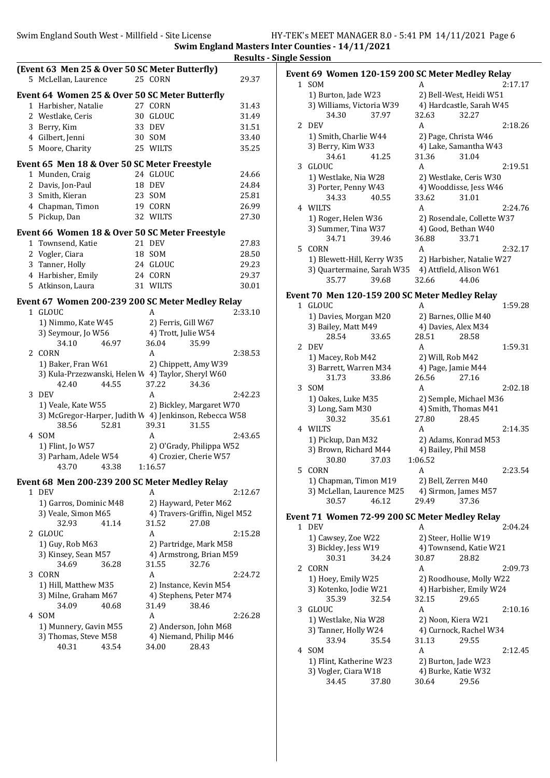Swim England Masters Inter Counties - 14/11/2021 Results - Single Session

|       | (Event 63 Men 25 & Over 50 SC Meter Butterfly)                       |    |            |                                  |         |
|-------|----------------------------------------------------------------------|----|------------|----------------------------------|---------|
|       | 5 McLellan, Laurence                                                 |    | 25 CORN    |                                  | 29.37   |
|       | Event 64 Women 25 & Over 50 SC Meter Butterfly                       |    |            |                                  |         |
|       | 1 Harbisher, Natalie                                                 |    | 27 CORN    |                                  | 31.43   |
|       | 2 Westlake, Ceris                                                    |    | 30 GLOUC   |                                  | 31.49   |
|       | 3 Berry, Kim                                                         | 33 | <b>DEV</b> |                                  | 31.51   |
|       | 4 Gilbert, Jenni                                                     |    | 30 SOM     |                                  | 33.40   |
|       | 5 Moore, Charity                                                     |    | 25 WILTS   |                                  | 35.25   |
|       |                                                                      |    |            |                                  |         |
|       | Event 65 Men 18 & Over 50 SC Meter Freestyle                         |    |            |                                  |         |
|       | 1 Munden, Craig                                                      |    | 24 GLOUC   |                                  | 24.66   |
|       | 2 Davis, Jon-Paul                                                    |    | 18 DEV     |                                  | 24.84   |
|       | 3 Smith, Kieran                                                      |    | 23 SOM     |                                  | 25.81   |
|       | 4 Chapman, Timon                                                     |    | 19 CORN    |                                  | 26.99   |
|       | 5 Pickup, Dan                                                        |    | 32 WILTS   |                                  | 27.30   |
|       | Event 66 Women 18 & Over 50 SC Meter Freestyle                       |    |            |                                  |         |
| 1     | Townsend, Katie                                                      |    | 21 DEV     |                                  | 27.83   |
|       | 2 Vogler, Ciara                                                      |    | 18 SOM     |                                  | 28.50   |
|       | 3 Tanner, Holly                                                      |    | 24 GLOUC   |                                  | 29.23   |
|       | 4 Harbisher, Emily                                                   |    | 24 CORN    |                                  | 29.37   |
| 5     | Atkinson, Laura                                                      |    | 31 WILTS   |                                  | 30.01   |
|       |                                                                      |    |            |                                  |         |
|       | Event 67 Women 200-239 200 SC Meter Medley Relay                     |    |            |                                  |         |
|       | 1 GLOUC                                                              |    | A          |                                  | 2:33.10 |
|       | 1) Nimmo, Kate W45                                                   |    |            | 2) Ferris, Gill W67              |         |
|       | 3) Seymour, Jo W56                                                   |    |            | 4) Trott, Julie W54              |         |
|       | 34.10<br>46.97                                                       |    | 36.04      | 35.99                            |         |
| 2     | CORN                                                                 |    | A          |                                  | 2:38.53 |
|       | 1) Baker, Fran W61                                                   |    |            | 2) Chippett, Amy W39             |         |
|       | 3) Kula-Przezwanski, Helen W 4) Taylor, Sheryl W60<br>42.40<br>44.55 |    | 37.22      | 34.36                            |         |
| 3     | <b>DEV</b>                                                           |    | A          |                                  | 2:42.23 |
|       | 1) Veale, Kate W55                                                   |    |            | 2) Bickley, Margaret W70         |         |
|       | 3) McGregor-Harper, Judith W 4) Jenkinson, Rebecca W58               |    |            |                                  |         |
|       | 52.81<br>38.56                                                       |    | 39.31      | 31.55                            |         |
|       | 4 SOM                                                                |    | A          |                                  | 2:43.65 |
|       | 1) Flint, Jo W57                                                     |    |            | 2) O'Grady, Philippa W52         |         |
|       | 3) Parham, Adele W54                                                 |    |            | 4) Crozier, Cherie W57           |         |
|       | 43.70<br>43.38                                                       |    | 1:16.57    |                                  |         |
|       |                                                                      |    |            |                                  |         |
|       | Event 68 Men 200-239 200 SC Meter Medley Relay                       |    |            |                                  |         |
| $1\,$ | <b>DEV</b>                                                           |    | A          |                                  | 2:12.67 |
|       | 1) Garros, Dominic M48                                               |    |            | 2) Hayward, Peter M62            |         |
|       | 3) Veale, Simon M65                                                  |    |            | 4) Travers-Griffin, Nigel M52    |         |
|       | 32.93<br>41.14                                                       |    | 31.52<br>A | 27.08                            |         |
| 2     | GLOUC                                                                |    |            |                                  | 2:15.28 |
|       | 1) Guy, Rob M63                                                      |    |            | 2) Partridge, Mark M58           |         |
|       | 3) Kinsey, Sean M57<br>34.69<br>36.28                                |    | 31.55      | 4) Armstrong, Brian M59<br>32.76 |         |
| 3     | CORN                                                                 |    | A          |                                  | 2:24.72 |
|       |                                                                      |    |            |                                  |         |
|       | 1) Hill, Matthew M35                                                 |    |            | 2) Instance, Kevin M54           |         |
|       | 3) Milne, Graham M67<br>34.09<br>40.68                               |    | 31.49      | 4) Stephens, Peter M74<br>38.46  |         |
| 4     | SOM                                                                  |    | A          |                                  | 2:26.28 |
|       | 1) Munnery, Gavin M55                                                |    |            | 2) Anderson, John M68            |         |
|       | 3) Thomas, Steve M58                                                 |    |            | 4) Niemand, Philip M46           |         |
|       | 40.31<br>43.54                                                       |    | 34.00      | 28.43                            |         |
|       |                                                                      |    |            |                                  |         |
|       |                                                                      |    |            |                                  |         |

|   | Event 69 Women 120-159 200 SC Meter Medley Relay |       |                      |                                 |         |
|---|--------------------------------------------------|-------|----------------------|---------------------------------|---------|
|   | 1 SOM                                            |       | A                    |                                 | 2:17.17 |
|   | 1) Burton, Jade W23                              |       |                      | 2) Bell-West, Heidi W51         |         |
|   | 3) Williams, Victoria W39                        |       |                      | 4) Hardcastle, Sarah W45        |         |
|   | 34.30                                            | 37.97 | 32.63                | 32.27                           |         |
| 2 | DEV                                              |       | A                    |                                 | 2:18.26 |
|   | 1) Smith, Charlie W44                            |       | 2) Page, Christa W46 |                                 |         |
|   | 3) Berry, Kim W33                                |       |                      | 4) Lake, Samantha W43           |         |
|   | 34.61                                            | 41.25 | 31.36                | 31.04                           |         |
| 3 | GLOUC                                            |       | A                    |                                 | 2:19.51 |
|   | 1) Westlake, Nia W28                             |       |                      | 2) Westlake, Ceris W30          |         |
|   | 3) Porter, Penny W43<br>34.33                    |       | 33.62                | 4) Wooddisse, Jess W46<br>31.01 |         |
|   | 4 WILTS                                          | 40.55 | A                    |                                 | 2:24.76 |
|   | 1) Roger, Helen W36                              |       |                      | 2) Rosendale, Collette W37      |         |
|   | 3) Summer, Tina W37                              |       | 4) Good, Bethan W40  |                                 |         |
|   | 34.71                                            | 39.46 | 36.88                | 33.71                           |         |
| 5 | CORN                                             |       | A                    |                                 | 2:32.17 |
|   | 1) Blewett-Hill, Kerry W35                       |       |                      | 2) Harbisher, Natalie W27       |         |
|   | 3) Quartermaine, Sarah W35                       |       |                      | 4) Attfield, Alison W61         |         |
|   | 35.77                                            | 39.68 | 32.66                | 44.06                           |         |
|   | Event 70 Men 120-159 200 SC Meter Medley Relay   |       |                      |                                 |         |
|   | 1 GLOUC                                          |       | A                    |                                 | 1:59.28 |
|   | 1) Davies, Morgan M20                            |       | 2) Barnes, Ollie M40 |                                 |         |
|   | 3) Bailey, Matt M49                              |       | 4) Davies, Alex M34  |                                 |         |
|   | 28.54                                            | 33.65 | 28.51                | 28.58                           |         |
| 2 | DEV                                              |       | A                    |                                 | 1:59.31 |
|   | 1) Macey, Rob M42                                |       | 2) Will, Rob M42     |                                 |         |
|   | 3) Barrett, Warren M34                           |       | 4) Page, Jamie M44   |                                 |         |
|   | 31.73                                            | 33.86 | 26.56                | 27.16                           |         |
| 3 | SOM                                              |       | A                    |                                 | 2:02.18 |
|   | 1) Oakes, Luke M35                               |       |                      | 2) Semple, Michael M36          |         |
|   | 3) Long, Sam M30                                 |       |                      | 4) Smith, Thomas M41            |         |
|   | 30.32                                            | 35.61 | 27.80                | 28.45                           |         |
|   | 4 WILTS                                          |       | A                    |                                 | 2:14.35 |
|   | 1) Pickup, Dan M32<br>3) Brown, Richard M44      |       | 4) Bailey, Phil M58  | 2) Adams, Konrad M53            |         |
|   | 30.80                                            | 37.03 | 1:06.52              |                                 |         |
| 5 | CORN                                             |       | A                    |                                 | 2:23.54 |
|   | 1) Chapman, Timon M19                            |       | 2) Bell, Zerren M40  |                                 |         |
|   | 3) McLellan, Laurence M25                        |       |                      | 4) Sirmon, James M57            |         |
|   | 30.57                                            | 46.12 | 29.49                | 37.36                           |         |
|   | Event 71 Women 72-99 200 SC Meter Medley Relay   |       |                      |                                 |         |
|   | 1 DEV                                            |       | A                    |                                 | 2:04.24 |
|   | 1) Cawsey, Zoe W22                               |       | 2) Steer, Hollie W19 |                                 |         |
|   | 3) Bickley, Jess W19                             |       |                      | 4) Townsend, Katie W21          |         |
|   | 30.31                                            | 34.24 | 30.87                | 28.82                           |         |
| 2 | CORN                                             |       | A                    |                                 | 2:09.73 |
|   | 1) Hoey, Emily W25                               |       |                      | 2) Roodhouse, Molly W22         |         |
|   | 3) Kotenko, Jodie W21                            |       |                      | 4) Harbisher, Emily W24         |         |
|   | 35.39                                            | 32.54 | 32.15                | 29.65                           |         |
| 3 | <b>GLOUC</b>                                     |       | A                    |                                 | 2:10.16 |
|   | 1) Westlake, Nia W28                             |       | 2) Noon, Kiera W21   |                                 |         |
|   | 3) Tanner, Holly W24                             |       |                      | 4) Curnock, Rachel W34          |         |
| 4 | 33.94<br>SOM                                     | 35.54 | 31.13<br>A           | 29.55                           |         |
|   | 1) Flint, Katherine W23                          |       | 2) Burton, Jade W23  |                                 | 2:12.45 |
|   | 3) Vogler, Ciara W18                             |       | 4) Burke, Katie W32  |                                 |         |
|   | 34.45                                            | 37.80 | 30.64                | 29.56                           |         |
|   |                                                  |       |                      |                                 |         |